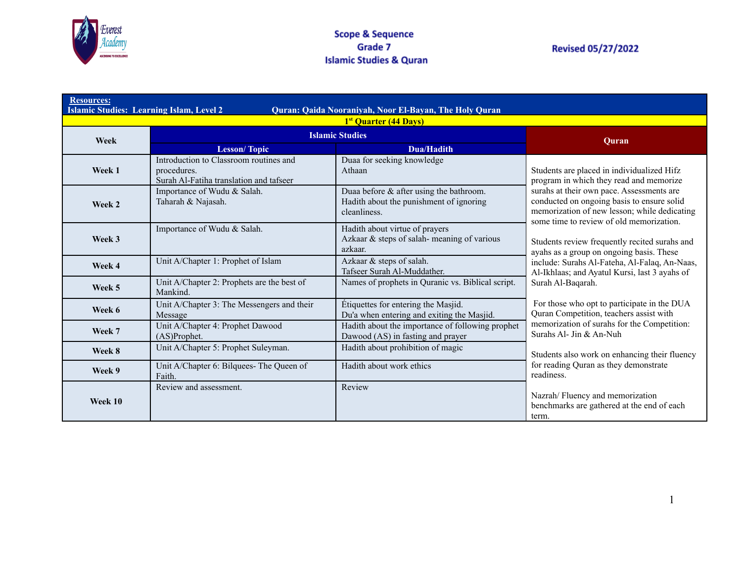

| <b>Resources:</b><br><b>Islamic Studies: Learning Islam, Level 2</b><br>Quran: Qaida Nooraniyah, Noor El-Bayan, The Holy Quran<br>1 <sup>st</sup> Quarter (44 Days) |                                                                                                  |                                                                                                    |                                                                                                                                                                                     |
|---------------------------------------------------------------------------------------------------------------------------------------------------------------------|--------------------------------------------------------------------------------------------------|----------------------------------------------------------------------------------------------------|-------------------------------------------------------------------------------------------------------------------------------------------------------------------------------------|
| Week                                                                                                                                                                | <b>Islamic Studies</b>                                                                           |                                                                                                    | Ouran                                                                                                                                                                               |
|                                                                                                                                                                     | <b>Lesson/Topic</b>                                                                              | Dua/Hadith                                                                                         |                                                                                                                                                                                     |
| Week 1                                                                                                                                                              | Introduction to Classroom routines and<br>procedures.<br>Surah Al-Fatiha translation and tafseer | Duaa for seeking knowledge<br>Athaan                                                               | Students are placed in individualized Hifz<br>program in which they read and memorize                                                                                               |
| Week 2                                                                                                                                                              | Importance of Wudu & Salah.<br>Taharah & Najasah.                                                | Duaa before & after using the bathroom.<br>Hadith about the punishment of ignoring<br>cleanliness. | surahs at their own pace. Assessments are<br>conducted on ongoing basis to ensure solid<br>memorization of new lesson; while dedicating<br>some time to review of old memorization. |
| Week 3                                                                                                                                                              | Importance of Wudu & Salah.                                                                      | Hadith about virtue of prayers<br>Azkaar & steps of salah-meaning of various<br>azkaar.            | Students review frequently recited surahs and<br>ayahs as a group on ongoing basis. These                                                                                           |
| Week 4                                                                                                                                                              | Unit A/Chapter 1: Prophet of Islam                                                               | Azkaar & steps of salah.<br>Tafseer Surah Al-Muddather.                                            | include: Surahs Al-Fateha, Al-Falaq, An-Naas,<br>Al-Ikhlaas; and Ayatul Kursi, last 3 ayahs of                                                                                      |
| Week 5                                                                                                                                                              | Unit A/Chapter 2: Prophets are the best of<br>Mankind.                                           | Names of prophets in Quranic vs. Biblical script.                                                  | Surah Al-Baqarah.                                                                                                                                                                   |
| Week 6                                                                                                                                                              | Unit A/Chapter 3: The Messengers and their<br>Message                                            | Étiquettes for entering the Masjid.<br>Du'a when entering and exiting the Masjid.                  | For those who opt to participate in the DUA<br>Quran Competition, teachers assist with                                                                                              |
| Week 7                                                                                                                                                              | Unit A/Chapter 4: Prophet Dawood<br>(AS)Prophet.                                                 | Hadith about the importance of following prophet<br>Dawood (AS) in fasting and prayer              | memorization of surahs for the Competition:<br>Surahs Al- Jin & An-Nuh                                                                                                              |
| Week 8                                                                                                                                                              | Unit A/Chapter 5: Prophet Suleyman.                                                              | Hadith about prohibition of magic                                                                  | Students also work on enhancing their fluency                                                                                                                                       |
| Week 9                                                                                                                                                              | Unit A/Chapter 6: Bilquees-The Queen of<br>Faith.                                                | Hadith about work ethics                                                                           | for reading Quran as they demonstrate<br>readiness.                                                                                                                                 |
| Week 10                                                                                                                                                             | Review and assessment.                                                                           | Review                                                                                             | Nazrah/Fluency and memorization<br>benchmarks are gathered at the end of each<br>term.                                                                                              |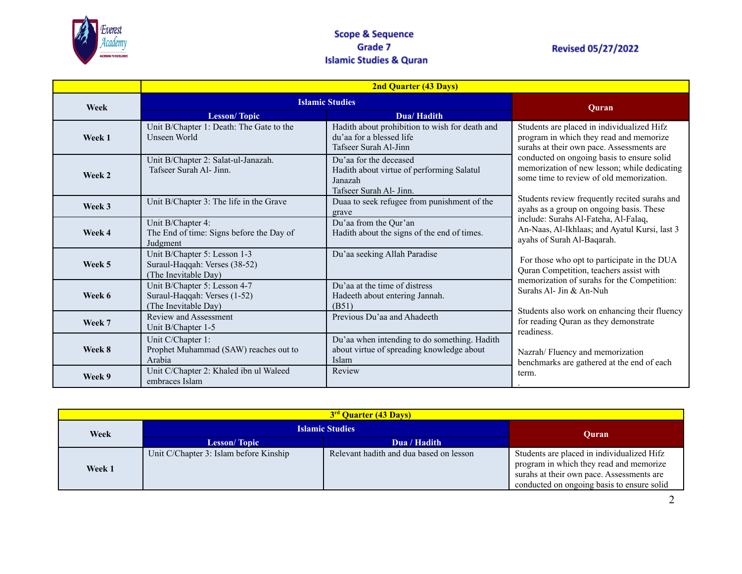

# **Revised 05/27/2022**

|        | <b>2nd Quarter (43 Days)</b>                                                          |                                                                                                           |                                                                                                                                                                                                                                                                          |
|--------|---------------------------------------------------------------------------------------|-----------------------------------------------------------------------------------------------------------|--------------------------------------------------------------------------------------------------------------------------------------------------------------------------------------------------------------------------------------------------------------------------|
| Week   | <b>Islamic Studies</b>                                                                |                                                                                                           | Ouran                                                                                                                                                                                                                                                                    |
|        | <b>Lesson/Topic</b>                                                                   | Dua/Hadith                                                                                                |                                                                                                                                                                                                                                                                          |
| Week 1 | Unit B/Chapter 1: Death: The Gate to the<br>Unseen World                              | Hadith about prohibition to wish for death and<br>du'aa for a blessed life<br>Tafseer Surah Al-Jinn       | Students are placed in individualized Hifz<br>program in which they read and memorize<br>surahs at their own pace. Assessments are                                                                                                                                       |
| Week 2 | Unit B/Chapter 2: Salat-ul-Janazah.<br>Tafseer Surah Al- Jinn.                        | Du'aa for the deceased<br>Hadith about virtue of performing Salatul<br>Janazah<br>Tafseer Surah Al- Jinn. | conducted on ongoing basis to ensure solid<br>memorization of new lesson; while dedicating<br>some time to review of old memorization.                                                                                                                                   |
| Week 3 | Unit B/Chapter 3: The life in the Grave                                               | Duaa to seek refugee from punishment of the<br>grave                                                      | Students review frequently recited surahs and<br>ayahs as a group on ongoing basis. These                                                                                                                                                                                |
| Week 4 | Unit B/Chapter 4:<br>The End of time: Signs before the Day of<br>Judgment             | Du'aa from the Qur'an<br>Hadith about the signs of the end of times.                                      | include: Surahs Al-Fateha, Al-Falaq,<br>An-Naas, Al-Ikhlaas; and Ayatul Kursi, last 3<br>ayahs of Surah Al-Baqarah.                                                                                                                                                      |
| Week 5 | Unit B/Chapter 5: Lesson 1-3<br>Suraul-Haqqah: Verses (38-52)<br>(The Inevitable Day) | Du'aa seeking Allah Paradise                                                                              | For those who opt to participate in the DUA<br>Quran Competition, teachers assist with<br>memorization of surahs for the Competition:<br>Surahs Al- Jin & An-Nuh<br>Students also work on enhancing their fluency<br>for reading Quran as they demonstrate<br>readiness. |
| Week 6 | Unit B/Chapter 5: Lesson 4-7<br>Suraul-Haqqah: Verses (1-52)<br>(The Inevitable Day)  | Du'aa at the time of distress<br>Hadeeth about entering Jannah.<br>(B51)                                  |                                                                                                                                                                                                                                                                          |
| Week 7 | Review and Assessment<br>Unit B/Chapter 1-5                                           | Previous Du'aa and Ahadeeth                                                                               |                                                                                                                                                                                                                                                                          |
| Week 8 | Unit C/Chapter 1:<br>Prophet Muhammad (SAW) reaches out to<br>Arabia                  | Du'aa when intending to do something. Hadith<br>about virtue of spreading knowledge about<br>Islam        | Nazrah/Fluency and memorization<br>benchmarks are gathered at the end of each                                                                                                                                                                                            |
| Week 9 | Unit C/Chapter 2: Khaled ibn ul Waleed<br>embraces Islam                              | Review                                                                                                    | term.                                                                                                                                                                                                                                                                    |

| 3 <sup>rd</sup> Quarter (43 Days) |                                        |                                         |                                                                                                                                                                                  |  |
|-----------------------------------|----------------------------------------|-----------------------------------------|----------------------------------------------------------------------------------------------------------------------------------------------------------------------------------|--|
| Week                              | <b>Islamic Studies</b>                 |                                         | Ouran                                                                                                                                                                            |  |
|                                   | <b>Lesson/Topic</b>                    | Dua / Hadith                            |                                                                                                                                                                                  |  |
| Week 1                            | Unit C/Chapter 3: Islam before Kinship | Relevant hadith and dua based on lesson | Students are placed in individualized Hifz<br>program in which they read and memorize<br>surahs at their own pace. Assessments are<br>conducted on ongoing basis to ensure solid |  |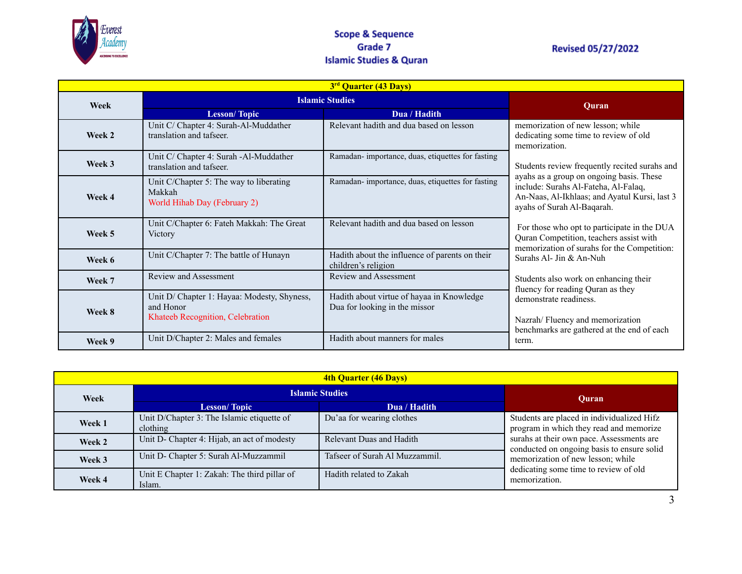

#### **Scope & Sequence** Grade 7 **Islamic Studies & Quran**

# **Revised 05/27/2022**

| 3 <sup>rd</sup> Quarter (43 Days) |                                                                                              |                                                                            |                                                                                                                                                                                                                  |
|-----------------------------------|----------------------------------------------------------------------------------------------|----------------------------------------------------------------------------|------------------------------------------------------------------------------------------------------------------------------------------------------------------------------------------------------------------|
| Week                              | <b>Islamic Studies</b>                                                                       |                                                                            | Quran                                                                                                                                                                                                            |
|                                   | <b>Lesson/Topic</b>                                                                          | Dua / Hadith                                                               |                                                                                                                                                                                                                  |
| Week 2                            | Unit C/ Chapter 4: Surah-Al-Muddather<br>translation and tafseer.                            | Relevant hadith and dua based on lesson                                    | memorization of new lesson; while<br>dedicating some time to review of old<br>memorization.                                                                                                                      |
| Week 3                            | Unit C/ Chapter 4: Surah -Al-Muddather<br>translation and tafseer.                           | Ramadan-importance, duas, etiquettes for fasting                           | Students review frequently recited surahs and<br>ayahs as a group on ongoing basis. These<br>include: Surahs Al-Fateha, Al-Falaq,<br>An-Naas, Al-Ikhlaas; and Ayatul Kursi, last 3<br>ayahs of Surah Al-Baqarah. |
| Week 4                            | Unit C/Chapter 5: The way to liberating<br>Makkah<br>World Hihab Day (February 2)            | Ramadan-importance, duas, etiquettes for fasting                           |                                                                                                                                                                                                                  |
| Week 5                            | Unit C/Chapter 6: Fateh Makkah: The Great<br>Victory                                         | Relevant hadith and dua based on lesson                                    | For those who opt to participate in the DUA<br>Quran Competition, teachers assist with<br>memorization of surahs for the Competition:                                                                            |
| Week 6                            | Unit C/Chapter 7: The battle of Hunayn                                                       | Hadith about the influence of parents on their<br>children's religion      | Surahs Al- Jin & An-Nuh                                                                                                                                                                                          |
| Week 7                            | Review and Assessment                                                                        | <b>Review and Assessment</b>                                               | Students also work on enhancing their<br>fluency for reading Quran as they                                                                                                                                       |
| Week 8                            | Unit D/ Chapter 1: Hayaa: Modesty, Shyness,<br>and Honor<br>Khateeb Recognition, Celebration | Hadith about virtue of hayaa in Knowledge<br>Dua for looking in the missor | demonstrate readiness.<br>Nazrah/Fluency and memorization<br>benchmarks are gathered at the end of each                                                                                                          |
| Week 9                            | Unit D/Chapter 2: Males and females                                                          | Hadith about manners for males                                             | term.                                                                                                                                                                                                            |

| <b>4th Quarter (46 Days)</b> |                                                        |                                |                                                                                             |  |
|------------------------------|--------------------------------------------------------|--------------------------------|---------------------------------------------------------------------------------------------|--|
| Week                         | <b>Islamic Studies</b>                                 |                                | Ouran                                                                                       |  |
|                              | <b>Lesson/Topic</b>                                    | Dua / Hadith                   |                                                                                             |  |
| Week 1                       | Unit D/Chapter 3: The Islamic etiquette of<br>clothing | Du'aa for wearing clothes      | Students are placed in individualized Hifz<br>program in which they read and memorize       |  |
| Week 2                       | Unit D- Chapter 4: Hijab, an act of modesty            | Relevant Duas and Hadith       | surahs at their own pace. Assessments are<br>conducted on ongoing basis to ensure solid     |  |
| Week 3                       | Unit D- Chapter 5: Surah Al-Muzzammil                  | Tafseer of Surah Al Muzzammil. | memorization of new lesson; while<br>dedicating some time to review of old<br>memorization. |  |
| Week 4                       | Unit E Chapter 1: Zakah: The third pillar of<br>Islam. | Hadith related to Zakah        |                                                                                             |  |